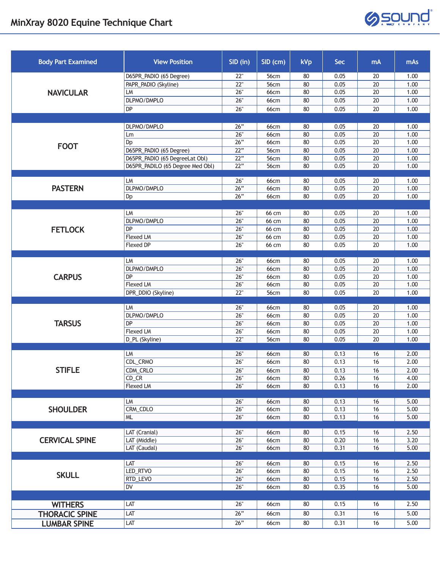

| <b>Body Part Examined</b> | <b>View Position</b>             | SID (in) | $SID$ (cm)  | <b>kVp</b> | Sec  | <b>mA</b>       | mAs  |
|---------------------------|----------------------------------|----------|-------------|------------|------|-----------------|------|
| <b>NAVICULAR</b>          | D65PR_PADIO (65 Degree)          | 22"      | 56cm        | 80         | 0.05 | 20              | 1.00 |
|                           | PAPR_PADIO (Skyline)             | 22"      | 56cm        | 80         | 0.05 | $\overline{20}$ | 1.00 |
|                           | LM                               | 26"      | <b>66cm</b> | 80         | 0.05 | $\overline{20}$ | 1.00 |
|                           | DLPMO/DMPLO                      | 26"      | <b>66cm</b> | 80         | 0.05 | 20              | 1.00 |
|                           | DP                               | 26"      | 66cm        | 80         | 0.05 | 20              | 1.00 |
|                           |                                  |          |             |            |      |                 |      |
| <b>FOOT</b>               | DLPMO/DMPLO                      | 26"      | 66cm        | 80         | 0.05 | 20              | 1.00 |
|                           | Lm                               | 26"      | <b>66cm</b> | 80         | 0.05 | 20              | 1.00 |
|                           | Dp                               | 26"      | 66cm        | 80         | 0.05 | 20              | 1.00 |
|                           | D65PR_PADIO (65 Degree)          | 22"      | 56cm        | 80         | 0.05 | 20              | 1.00 |
|                           | D65PR_PADIO (65 DegreeLat Obl)   | 22"      | 56cm        | 80         | 0.05 | 20              | 1.00 |
|                           | D65PR_PADILO (65 Degree Med Obl) | 22"      | 56cm        | 80         | 0.05 | 20              | 1.00 |
|                           |                                  |          |             |            |      |                 |      |
| <b>PASTERN</b>            | LM                               | 26"      | 66cm        | 80         | 0.05 | 20              | 1.00 |
|                           | DLPMO/DMPLO                      | 26"      | 66cm        | 80         | 0.05 | 20              | 1.00 |
|                           | Dp                               | 26"      | 66cm        | 80         | 0.05 | 20              | 1.00 |
|                           |                                  |          |             |            |      |                 |      |
|                           | LM                               | 26"      | 66 cm       | 80         | 0.05 | 20              | 1.00 |
|                           | DLPMO/DMPLO                      | 26"      | 66 cm       | 80         | 0.05 | 20              | 1.00 |
| <b>FETLOCK</b>            | DP                               | 26"      | 66 cm       | 80         | 0.05 | 20              | 1.00 |
|                           | Flexed LM                        | 26"      | 66 cm       | 80         | 0.05 | 20              | 1.00 |
|                           | <b>Flexed DP</b>                 | 26"      | 66 cm       | 80         | 0.05 | 20              | 1.00 |
|                           |                                  |          |             |            |      |                 |      |
|                           | LM                               | 26"      | 66cm        | 80         | 0.05 | 20              | 1.00 |
| <b>CARPUS</b>             | DLPMO/DMPLO                      | 26"      | <b>66cm</b> | 80         | 0.05 | 20              | 1.00 |
|                           | DP                               | 26"      | <b>66cm</b> | 80         | 0.05 | 20              | 1.00 |
|                           | <b>Flexed LM</b>                 | 26"      | 66cm        | 80         | 0.05 | 20              | 1.00 |
|                           | DPR_DDIO (Skyline)               | 22"      | 56cm        | 80         | 0.05 | 20              | 1.00 |
|                           |                                  |          |             |            |      |                 |      |
|                           | LM                               | 26"      | 66cm        | 80         | 0.05 | 20              | 1.00 |
| <b>TARSUS</b>             | DLPMO/DMPLO                      | 26"      | 66cm        | 80         | 0.05 | 20              | 1.00 |
|                           | DP                               | 26"      | 66cm        | 80         | 0.05 | 20              | 1.00 |
|                           | Flexed LM                        | 26"      | <b>66cm</b> | 80         | 0.05 | 20              | 1.00 |
|                           | D_PL (Skyline)                   | 22"      | 56cm        | 80         | 0.05 | 20              | 1.00 |
| <b>STIFLE</b>             | LM                               | 26"      | 66cm        | 80         | 0.13 | 16              | 2.00 |
|                           | CDL_CRMO                         | 26"      | 66cm        | 80         | 0.13 | 16              | 2.00 |
|                           | CDM_CRLO                         | 26"      | 66cm        | 80         | 0.13 | 16              | 2.00 |
|                           | CD CR                            | 26"      | 66cm        | 80         | 0.26 | 16              | 4.00 |
|                           | Flexed LM                        | 26"      | 66cm        | 80         | 0.13 | 16              | 2.00 |
|                           |                                  |          |             |            |      |                 |      |
|                           | LM                               | 26"      | 66cm        | 80         | 0.13 | 16              | 5.00 |
| <b>SHOULDER</b>           | CRM_CDLO                         | 26"      | 66cm        | 80         | 0.13 | 16              | 5.00 |
|                           | <b>ML</b>                        | $26"$    | 66cm        | 80         | 0.13 | 16              | 5.00 |
|                           |                                  |          |             |            |      |                 |      |
| <b>CERVICAL SPINE</b>     | LAT (Cranial)                    | 26"      | 66cm        | 80         | 0.15 | 16              | 2.50 |
|                           | LAT (Middle)                     | 26"      | 66cm        | 80         | 0.20 | 16              | 3.20 |
|                           | LAT (Caudal)                     | 26"      | 66cm        | 80         | 0.31 | 16              | 5.00 |
|                           |                                  |          |             |            |      |                 |      |
|                           | LAT                              | 26"      | 66cm        | 80         | 0.15 | 16              | 2.50 |
| <b>SKULL</b>              | LED_RTVO                         | 26"      | <b>66cm</b> | 80         | 0.15 | 16              | 2.50 |
|                           | RTD_LEVO                         | 26"      | <b>66cm</b> | 80         | 0.15 | 16              | 2.50 |
|                           | DV                               | 26"      | 66cm        | 80         | 0.35 | 16              | 5.00 |
|                           |                                  |          |             |            |      |                 |      |
| <b>WITHERS</b>            | LAT                              | 26"      | 66cm        | 80         | 0.15 | 16              | 2.50 |
| <b>THORACIC SPINE</b>     | LAT                              | 26"      | 66cm        | 80         | 0.31 | 16              | 5.00 |
|                           | LAT                              | 26"      |             |            |      |                 | 5.00 |
| <b>LUMBAR SPINE</b>       |                                  |          | 66cm        | 80         | 0.31 | 16              |      |